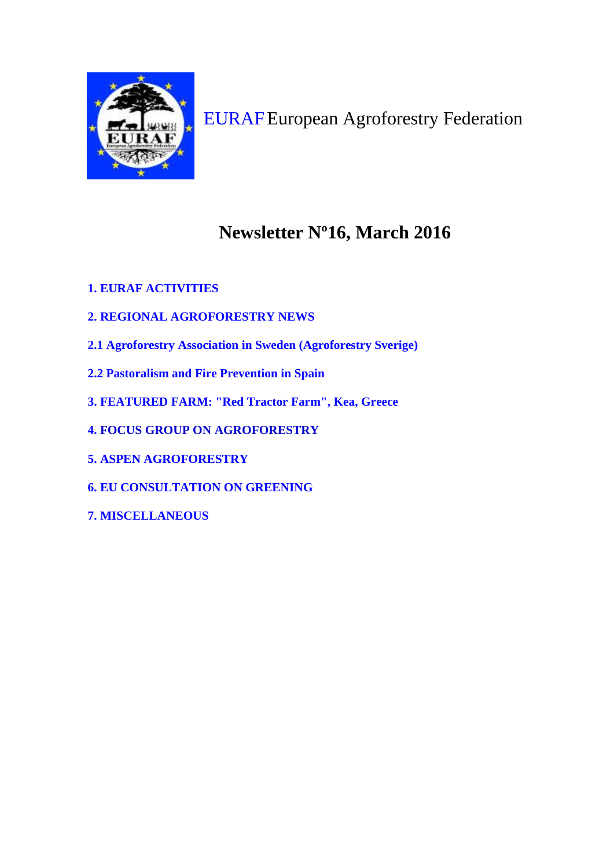

[EURAF](http://www.agroforestry.eu/)European Agroforestry Federation

# **Newsletter Nº16, March 2016**

- **1. EURAF [ACTIVITIES](https://euraf.isa.utl.pt/newsletters/newsletter_16#p1)**
- **2. REGIONAL [AGROFORESTRY](https://euraf.isa.utl.pt/newsletters/newsletter_16#p2) NEWS**
- **2.1 Agroforestry Association in Sweden [\(Agroforestry](https://euraf.isa.utl.pt/newsletters/newsletter_16#p2.1) Sverige)**
- **2.2 [Pastoralism](https://euraf.isa.utl.pt/newsletters/newsletter_16#p2.2) and Fire Prevention in Spain**
- **3. [FEATURED](https://euraf.isa.utl.pt/newsletters/newsletter_16#p3) FARM: "Red Tractor Farm", Kea, Greece**
- **4. FOCUS GROUP ON [AGROFORESTRY](https://euraf.isa.utl.pt/newsletters/newsletter_16#p4)**
- **5. ASPEN [AGROFORESTRY](https://euraf.isa.utl.pt/newsletters/newsletter_16#p5)**
- **6. EU [CONSULTATION](https://euraf.isa.utl.pt/newsletters/newsletter_16#p6) ON GREENING**
- **7. [MISCELLANEOUS](https://euraf.isa.utl.pt/newsletters/newsletter_16#p7)**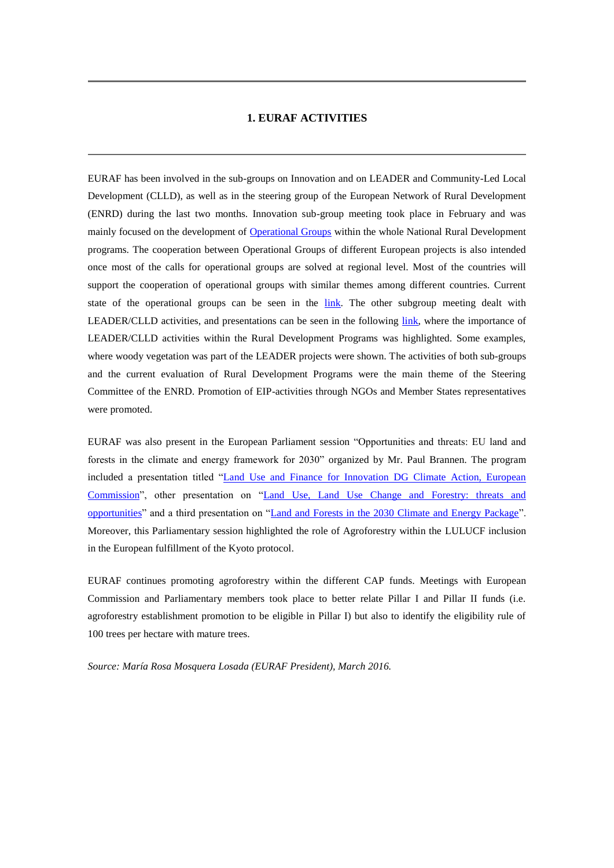#### **1. EURAF ACTIVITIES**

EURAF has been involved in the sub-groups on Innovation and on LEADER and Community-Led Local Development (CLLD), as well as in the steering group of the European Network of Rural Development (ENRD) during the last two months. Innovation sub-group meeting took place in February and was mainly focused on the development of [Operational Groups](https://ec.europa.eu/eip/agriculture/sites/agri-eip/files/fact-sheet-operational-groups_en.pdf) within the whole National Rural Development programs. The cooperation between Operational Groups of different European projects is also intended once most of the calls for operational groups are solved at regional level. Most of the countries will support the cooperation of operational groups with similar themes among different countries. Current state of the operational groups can be seen in the [link.](https://ec.europa.eu/eip/agriculture/en/content/fourth-meeting-permanent-subgroup-innovation-agricultural-productivity-and-sustainability) The other subgroup meeting dealt with LEADER/CLLD activities, and presentations can be seen in the following [link,](https://enrd.ec.europa.eu/en/en-rd-events-and-meetings/LeaderCLLD-sub-group-3rd-meeting-20160216) where the importance of LEADER/CLLD activities within the Rural Development Programs was highlighted. Some examples, where woody vegetation was part of the LEADER projects were shown. The activities of both sub-groups and the current evaluation of Rural Development Programs were the main theme of the Steering Committee of the ENRD. Promotion of EIP-activities through NGOs and Member States representatives were promoted.

EURAF was also present in the European Parliament session "Opportunities and threats: EU land and forests in the climate and energy framework for 2030" organized by Mr. Paul Brannen. The program included a presentation titled ["Land Use and Finance for Innovation DG Climate Action, European](https://docs.google.com/presentation/d/1f6LCwPbo_HOyuOqU4e96zFa28Gbs-L2WT9dNnm_SIPM/edit?usp=sharing)  [Commission"](https://docs.google.com/presentation/d/1f6LCwPbo_HOyuOqU4e96zFa28Gbs-L2WT9dNnm_SIPM/edit?usp=sharing), other presentation on ["Land Use, Land Use Change and Forestry: threats and](https://docs.google.com/presentation/d/1BZS_wFFgxHHJRd0ezSRbuDqoPE-cspCd0dZmP3KMyr8/edit?usp=sharing)  [opportunities"](https://docs.google.com/presentation/d/1BZS_wFFgxHHJRd0ezSRbuDqoPE-cspCd0dZmP3KMyr8/edit?usp=sharing) and a third presentation on "Land and [Forests in the 2030 Climate and Energy Package"](https://docs.google.com/presentation/d/1045ExPQE0URltYpSaZWUzA3fhmiKczVKZSNvI8aDlXs/edit?usp=sharing). Moreover, this Parliamentary session highlighted the role of Agroforestry within the LULUCF inclusion in the European fulfillment of the Kyoto protocol.

EURAF continues promoting agroforestry within the different CAP funds. Meetings with European Commission and Parliamentary members took place to better relate Pillar I and Pillar II funds (i.e. agroforestry establishment promotion to be eligible in Pillar I) but also to identify the eligibility rule of 100 trees per hectare with mature trees.

*Source: María Rosa Mosquera Losada (EURAF President), March 2016.*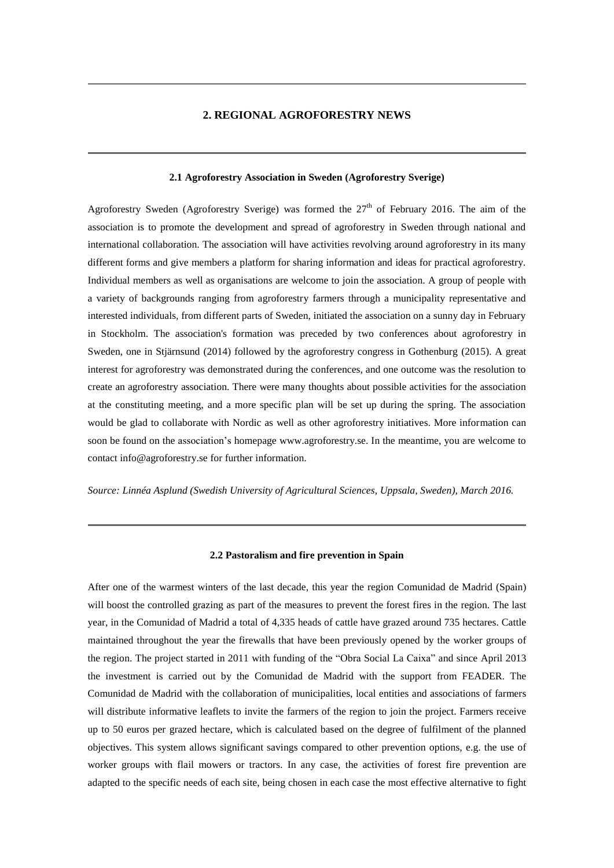#### **2. REGIONAL AGROFORESTRY NEWS**

#### **2.1 Agroforestry Association in Sweden (Agroforestry Sverige)**

Agroforestry Sweden (Agroforestry Sverige) was formed the  $27<sup>th</sup>$  of February 2016. The aim of the association is to promote the development and spread of agroforestry in Sweden through national and international collaboration. The association will have activities revolving around agroforestry in its many different forms and give members a platform for sharing information and ideas for practical agroforestry. Individual members as well as organisations are welcome to join the association. A group of people with a variety of backgrounds ranging from agroforestry farmers through a municipality representative and interested individuals, from different parts of Sweden, initiated the association on a sunny day in February in Stockholm. The association's formation was preceded by two conferences about agroforestry in Sweden, one in Stjärnsund (2014) followed by the agroforestry congress in Gothenburg (2015). A great interest for agroforestry was demonstrated during the conferences, and one outcome was the resolution to create an agroforestry association. There were many thoughts about possible activities for the association at the constituting meeting, and a more specific plan will be set up during the spring. The association would be glad to collaborate with Nordic as well as other agroforestry initiatives. More information can soon be found on the association's homepage www.agroforestry.se. In the meantime, you are welcome to contact info@agroforestry.se for further information.

*Source: Linnéa Asplund [\(Swedish University of Agricultural Sciences,](https://www.researchgate.net/institution/Swedish_University_of_Agricultural_Sciences) Uppsala, Sweden), March 2016.*

#### **2.2 Pastoralism and fire prevention in Spain**

After one of the warmest winters of the last decade, this year the region Comunidad de Madrid (Spain) will boost the controlled grazing as part of the measures to prevent the forest fires in the region. The last year, in the Comunidad of Madrid a total of 4,335 heads of cattle have grazed around 735 hectares. Cattle maintained throughout the year the firewalls that have been previously opened by the worker groups of the region. The project started in 2011 with funding of the "Obra Social La Caixa" and since April 2013 the investment is carried out by the Comunidad de Madrid with the support from FEADER. The Comunidad de Madrid with the collaboration of municipalities, local entities and associations of farmers will distribute informative leaflets to invite the farmers of the region to join the project. Farmers receive up to 50 euros per grazed hectare, which is calculated based on the degree of fulfilment of the planned objectives. This system allows significant savings compared to other prevention options, e.g. the use of worker groups with flail mowers or tractors. In any case, the activities of forest fire prevention are adapted to the specific needs of each site, being chosen in each case the most effective alternative to fight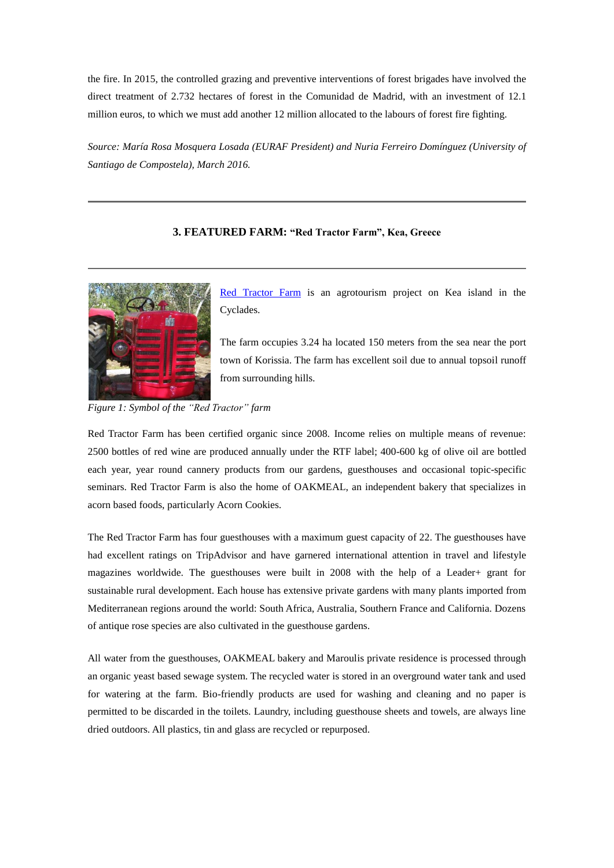the fire. In 2015, the controlled grazing and preventive interventions of forest brigades have involved the direct treatment of 2.732 hectares of forest in the Comunidad de Madrid, with an investment of 12.1 million euros, to which we must add another 12 million allocated to the labours of forest fire fighting.

*Source: María Rosa Mosquera Losada (EURAF President) and Nuria Ferreiro Domínguez (University of Santiago de Compostela), March 2016.*

# **3. FEATURED FARM: "Red Tractor Farm", Kea, Greece**



[Red Tractor Farm](http://www.redtractorfarm.com/) is an agrotourism project on Kea island in the Cyclades.

The farm occupies 3.24 ha located 150 meters from the sea near the port town of Korissia. The farm has excellent soil due to annual topsoil runoff from surrounding hills.

*Figure 1: Symbol of the "Red Tractor" farm*

Red Tractor Farm has been certified organic since 2008. Income relies on multiple means of revenue: 2500 bottles of red wine are produced annually under the RTF label; 400-600 kg of olive oil are bottled each year, year round cannery products from our gardens, guesthouses and occasional topic-specific seminars. Red Tractor Farm is also the home of OAKMEAL, an independent bakery that specializes in acorn based foods, particularly Acorn Cookies.

The Red Tractor Farm has four guesthouses with a maximum guest capacity of 22. The guesthouses have had excellent ratings on TripAdvisor and have garnered international attention in travel and lifestyle magazines worldwide. The guesthouses were built in 2008 with the help of a Leader+ grant for sustainable rural development. Each house has extensive private gardens with many plants imported from Mediterranean regions around the world: South Africa, Australia, Southern France and California. Dozens of antique rose species are also cultivated in the guesthouse gardens.

All water from the guesthouses, OAKMEAL bakery and Maroulis private residence is processed through an organic yeast based sewage system. The recycled water is stored in an overground water tank and used for watering at the farm. Bio-friendly products are used for washing and cleaning and no paper is permitted to be discarded in the toilets. Laundry, including guesthouse sheets and towels, are always line dried outdoors. All plastics, tin and glass are recycled or repurposed.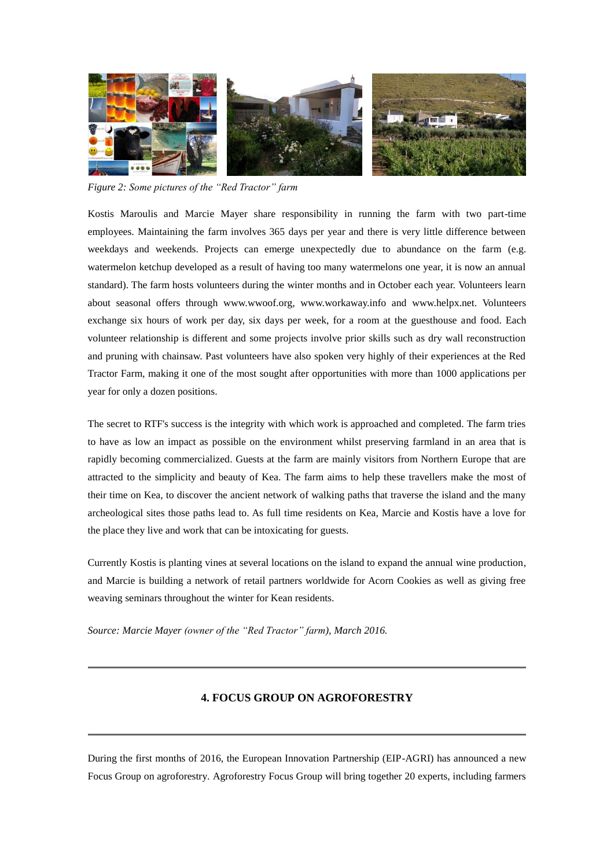

*Figure 2: Some pictures of the "Red Tractor" farm*

Kostis Maroulis and Marcie Mayer share responsibility in running the farm with two part-time employees. Maintaining the farm involves 365 days per year and there is very little difference between weekdays and weekends. Projects can emerge unexpectedly due to abundance on the farm (e.g. watermelon ketchup developed as a result of having too many watermelons one year, it is now an annual standard). The farm hosts volunteers during the winter months and in October each year. Volunteers learn about seasonal offers through [www.wwoof.org,](http://www.wwoof.org/) [www.workaway.info](http://www.workaway.info/) and [www.helpx.net.](http://www.helpx.net/) Volunteers exchange six hours of work per day, six days per week, for a room at the guesthouse and food. Each volunteer relationship is different and some projects involve prior skills such as dry wall reconstruction and pruning with chainsaw. Past volunteers have also spoken very highly of their experiences at the Red Tractor Farm, making it one of the most sought after opportunities with more than 1000 applications per year for only a dozen positions.

The secret to RTF's success is the integrity with which work is approached and completed. The farm tries to have as low an impact as possible on the environment whilst preserving farmland in an area that is rapidly becoming commercialized. Guests at the farm are mainly visitors from Northern Europe that are attracted to the simplicity and beauty of Kea. The farm aims to help these travellers make the most of their time on Kea, to discover the ancient network of walking paths that traverse the island and the many archeological sites those paths lead to. As full time residents on Kea, Marcie and Kostis have a love for the place they live and work that can be intoxicating for guests.

Currently Kostis is planting vines at several locations on the island to expand the annual wine production, and Marcie is building a network of retail partners worldwide for Acorn Cookies as well as giving free weaving seminars throughout the winter for Kean residents.

*Source: Marcie Mayer (owner of the "Red Tractor" farm), March 2016.*

# **4. FOCUS GROUP ON AGROFORESTRY**

During the first months of 2016, the European Innovation Partnership (EIP-AGRI) has announced a new Focus Group on agroforestry. Agroforestry Focus Group will bring together 20 experts, including farmers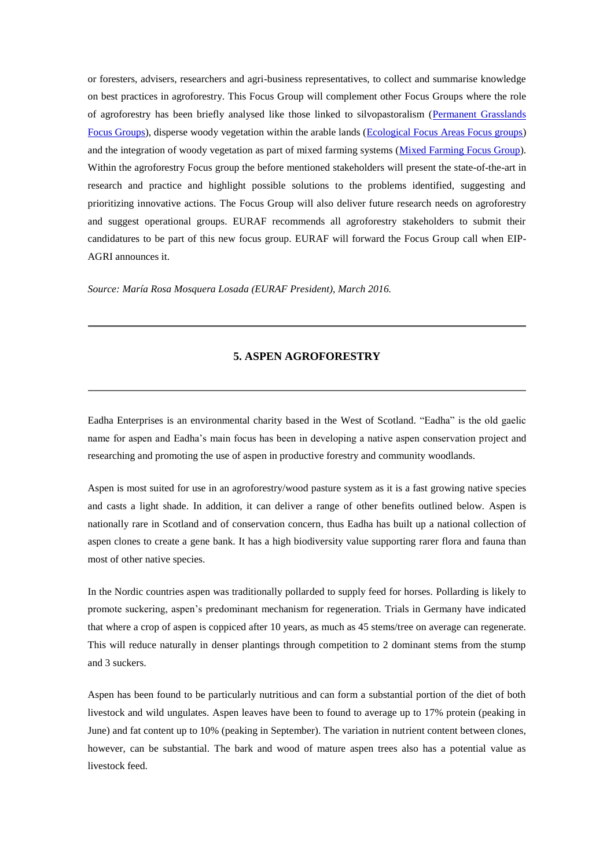or foresters, advisers, researchers and agri-business representatives, to collect and summarise knowledge on best practices in agroforestry. This Focus Group will complement other Focus Groups where the role of agroforestry has been briefly analysed like those linked to silvopastoralism [\(Permanent Grasslands](http://ec.europa.eu/eip/agriculture/en/content/profitability-permanent-grassland) [Focus Groups\)](http://ec.europa.eu/eip/agriculture/en/content/profitability-permanent-grassland), disperse woody vegetation within the arable lands [\(Ecological Focus Areas Focus groups\)](http://ec.europa.eu/eip/agriculture/en/content/optimising-profitability-crop-production-through-ecological-focus-areas) and the integration of woody vegetation as part of mixed farming systems [\(Mixed Farming Focus Group\)](http://ec.europa.eu/eip/agriculture/en/content/mixed-farming-systems-livestockcash-crops). Within the agroforestry Focus group the before mentioned stakeholders will present the state-of-the-art in research and practice and highlight possible solutions to the problems identified, suggesting and prioritizing innovative actions. The Focus Group will also deliver future research needs on agroforestry and suggest operational groups. EURAF recommends all agroforestry stakeholders to submit their candidatures to be part of this new focus group. EURAF will forward the Focus Group call when EIP-AGRI announces it.

*Source: María Rosa Mosquera Losada (EURAF President), March 2016.*

# **5. ASPEN AGROFORESTRY**

Eadha Enterprises is an environmental charity based in the West of Scotland. "Eadha" is the old gaelic name for aspen and Eadha's main focus has been in developing a native aspen conservation project and researching and promoting the use of aspen in productive forestry and community woodlands.

Aspen is most suited for use in an agroforestry/wood pasture system as it is a fast growing native species and casts a light shade. In addition, it can deliver a range of other benefits outlined below. Aspen is nationally rare in Scotland and of conservation concern, thus Eadha has built up a national collection of aspen clones to create a gene bank. It has a high biodiversity value supporting rarer flora and fauna than most of other native species.

In the Nordic countries aspen was traditionally pollarded to supply feed for horses. Pollarding is likely to promote suckering, aspen's predominant mechanism for regeneration. Trials in Germany have indicated that where a crop of aspen is coppiced after 10 years, as much as 45 stems/tree on average can regenerate. This will reduce naturally in denser plantings through competition to 2 dominant stems from the stump and 3 suckers.

Aspen has been found to be particularly nutritious and can form a substantial portion of the diet of both livestock and wild ungulates. Aspen leaves have been to found to average up to 17% protein (peaking in June) and fat content up to 10% (peaking in September). The variation in nutrient content between clones, however, can be substantial. The bark and wood of mature aspen trees also has a potential value as livestock feed.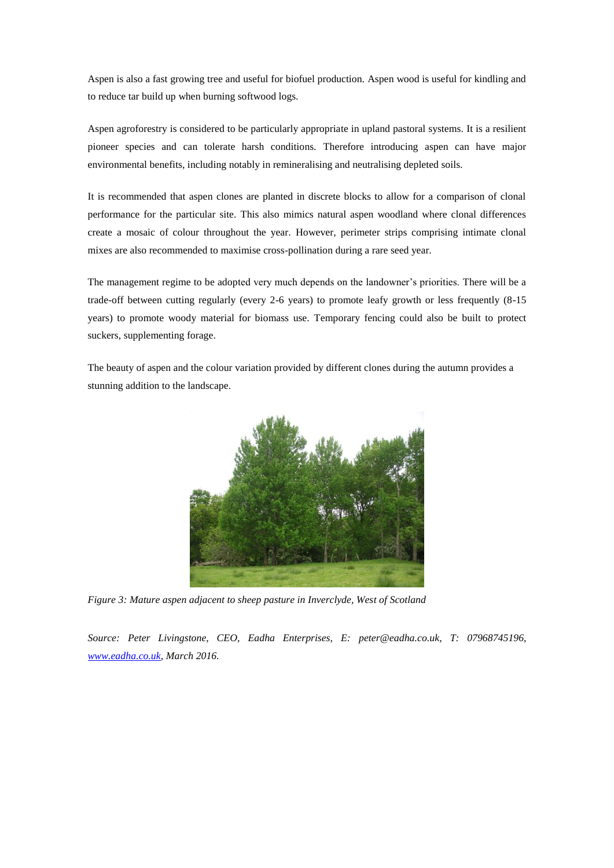Aspen is also a fast growing tree and useful for biofuel production. Aspen wood is useful for kindling and to reduce tar build up when burning softwood logs.

Aspen agroforestry is considered to be particularly appropriate in upland pastoral systems. It is a resilient pioneer species and can tolerate harsh conditions. Therefore introducing aspen can have major environmental benefits, including notably in remineralising and neutralising depleted soils.

It is recommended that aspen clones are planted in discrete blocks to allow for a comparison of clonal performance for the particular site. This also mimics natural aspen woodland where clonal differences create a mosaic of colour throughout the year. However, perimeter strips comprising intimate clonal mixes are also recommended to maximise cross-pollination during a rare seed year.

The management regime to be adopted very much depends on the landowner's priorities. There will be a trade-off between cutting regularly (every 2-6 years) to promote leafy growth or less frequently (8-15 years) to promote woody material for biomass use. Temporary fencing could also be built to protect suckers, supplementing forage.

The beauty of aspen and the colour variation provided by different clones during the autumn provides a stunning addition to the landscape.



*Figure 3: Mature aspen adjacent to sheep pasture in Inverclyde, West of Scotland*

*Source: Peter Livingstone, CEO, Eadha Enterprises, E: [peter@eadha.co.uk,](mailto:peter@eadha.co.uk) T: 07968745196, [www.eadha.co.uk,](http://www.eadha.co.uk/) March 2016.*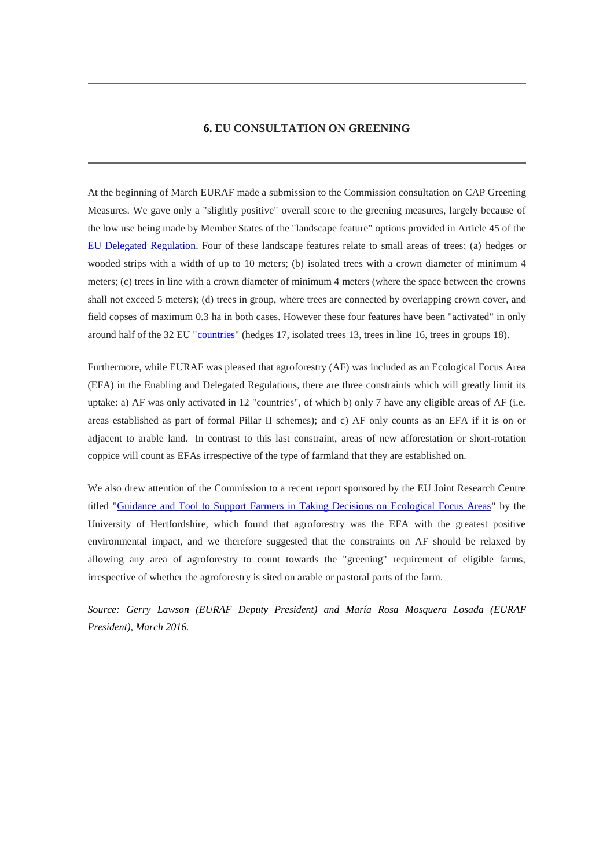#### **6. EU CONSULTATION ON GREENING**

At the beginning of March EURAF made a submission to the Commission consultation on CAP Greening Measures. We gave only a "slightly positive" overall score to the greening measures, largely because of the low use being made by Member States of the "landscape feature" options provided in Article 45 of the [EU Delegated Regulation.](http://eur-lex.europa.eu/legal-content/EN/TXT/PDF/?uri=CELEX:32014R0639&from=EN) Four of these landscape features relate to small areas of trees: (a) hedges or wooded strips with a width of up to 10 meters; (b) isolated trees with a crown diameter of minimum 4 meters; (c) trees in line with a crown diameter of minimum 4 meters (where the space between the crowns shall not exceed 5 meters); (d) trees in group, where trees are connected by overlapping crown cover, and field copses of maximum 0.3 ha in both cases. However these four features have been "activated" in only around half of the 32 EU ["countries"](https://docs.google.com/spreadsheets/d/1dGUC3oEE2ciYKhydQ75Yw1fdaRLKuu0LORCV4jwNElE/edit#gid=0) (hedges 17, isolated trees 13, trees in line 16, trees in groups 18).

Furthermore, while EURAF was pleased that agroforestry (AF) was included as an Ecological Focus Area (EFA) in the Enabling and Delegated Regulations, there are three constraints which will greatly limit its uptake: a) AF was only activated in 12 "countries", of which b) only 7 have any eligible areas of AF (i.e. areas established as part of formal Pillar II schemes); and c) AF only counts as an EFA if it is on or adjacent to arable land. In contrast to this last constraint, areas of new afforestation or short-rotation coppice will count as EFAs irrespective of the type of farmland that they are established on.

We also drew attention of the Commission to a recent report sponsored by the EU Joint Research Centre titled ["Guidance and Tool to Support Farmers in Taking Decisions on Ecological Focus Areas"](http://vuh-la-risprt.herts.ac.uk/portal/en/publications/guidance-and-tool-to-support-farmers-in-taking-aware-decisions-on-ecological-focus-areas(82103262-85ae-4fd0-bcb8-2f05707d0c1c).html) by the University of Hertfordshire, which found that agroforestry was the EFA with the greatest positive environmental impact, and we therefore suggested that the constraints on AF should be relaxed by allowing any area of agroforestry to count towards the "greening" requirement of eligible farms, irrespective of whether the agroforestry is sited on arable or pastoral parts of the farm.

*Source: Gerry Lawson (EURAF Deputy President) and María Rosa Mosquera Losada (EURAF President), March 2016.*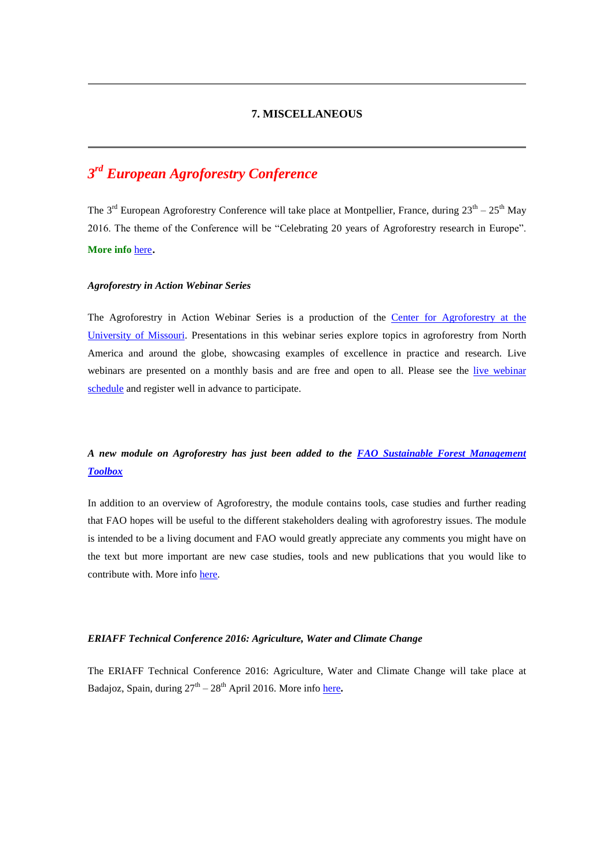# **7. MISCELLANEOUS**

# *3 rd European Agroforestry Conference*

The 3<sup>rd</sup> European Agroforestry Conference will take place at Montpellier, France, during  $23^{th} - 25^{th}$  May 2016. The theme of the Conference will be "Celebrating 20 years of Agroforestry research in Europe".

# **More info** [here](https://euraf.isa.utl.pt/conferences/III_EURAFConference).

#### *Agroforestry in Action Webinar Series*

The Agroforestry in Action Webinar Series is a production of the Center for [Agroforestry](http://centerforagroforestry.org/) at the [University](http://centerforagroforestry.org/) of Missouri. Presentations in this webinar series explore topics in agroforestry from North America and around the globe, showcasing examples of excellence in practice and research. Live [webinar](http://www.agroforestryinaction.org/#!live-webinar-schedule/c10d6)s are presented on a monthly basis and are free and open to all. Please see the live webinar [schedule](http://www.agroforestryinaction.org/#!live-webinar-schedule/c10d6) and register well in advance to participate.

# *A new module on Agroforestry has just been added to the [FAO Sustainable Forest Management](http://www.fao.org/sustainable-forest-management/toolbox/modules/agroforestry/basic-knowledge/en/)  [Toolbox](http://www.fao.org/sustainable-forest-management/toolbox/modules/agroforestry/basic-knowledge/en/)*

In addition to an overview of Agroforestry, the module contains tools, case studies and further reading that FAO hopes will be useful to the different stakeholders dealing with agroforestry issues. The module is intended to be a living document and FAO would greatly appreciate any comments you might have on the text but more important are new case studies, tools and new publications that you would like to contribute with. More info [here.](mailto:Simone.Borelli@fao.org)

# *ERIAFF Technical Conference 2016: Agriculture, Water and Climate Change*

The ERIAFF Technical Conference 2016: Agriculture, Water and Climate Change will take place at Badajoz, Spain, during  $27<sup>th</sup> - 28<sup>th</sup>$  April 2016. More info [here](http://www.eriaff16.com/?lang=en).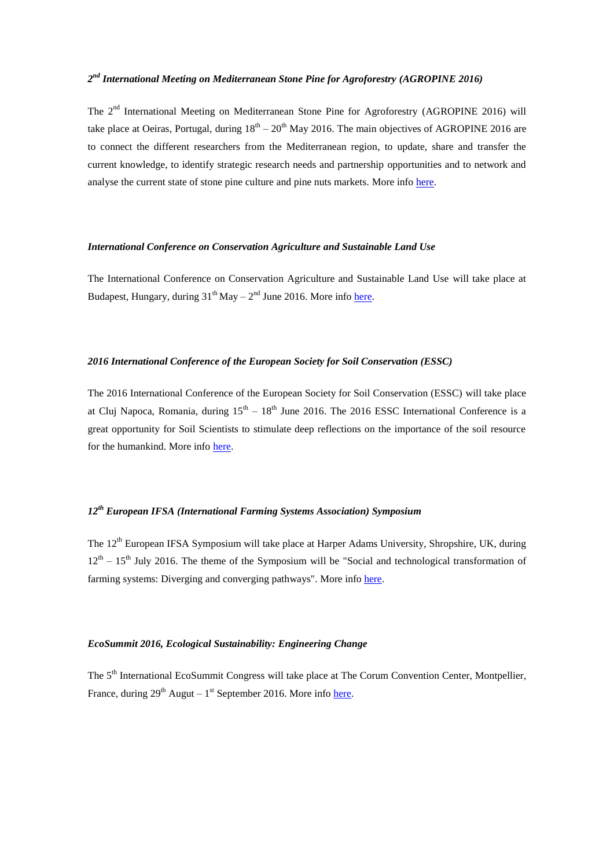# *2 nd International Meeting on Mediterranean Stone Pine for Agroforestry (AGROPINE 2016)*

The 2<sup>nd</sup> International Meeting on Mediterranean Stone Pine for Agroforestry (AGROPINE 2016) will take place at Oeiras, Portugal, during  $18<sup>th</sup> - 20<sup>th</sup>$  May 2016. The main objectives of AGROPINE 2016 are to connect the different researchers from the Mediterranean region, to update, share and transfer the current knowledge, to identify strategic research needs and partnership opportunities and to network and analyse the current state of stone pine culture and pine nuts markets. More info [here.](http://agropine2016.iniav.pt/)

#### *International Conference on Conservation Agriculture and Sustainable Land Use*

The International Conference on Conservation Agriculture and Sustainable Land Use will take place at Budapest, Hungary, during 31<sup>th</sup> May – 2<sup>nd</sup> June 2016. More info [here.](http://caslu2016.mtafki.hu/index.html)

#### *2016 International Conference of the European Society for Soil Conservation (ESSC)*

The 2016 International Conference of the European Society for Soil Conservation (ESSC) will take place at Cluj Napoca, Romania, during  $15<sup>th</sup> - 18<sup>th</sup>$  June 2016. The 2016 ESSC International Conference is a great opportunity for Soil Scientists to stimulate deep reflections on the importance of the soil resource for the humankind. More info [here.](http://essc2016.conference.ubbcluj.ro/)

# *12th European IFSA (International Farming Systems Association) Symposium*

The 12<sup>th</sup> European IFSA Symposium will take place at Harper Adams University, Shropshire, UK, during  $12<sup>th</sup> - 15<sup>th</sup>$  July 2016. The theme of the Symposium will be "Social and technological transformation of farming systems: Diverging and converging pathways". More info [here.](http://www.harper-adams.ac.uk/events/ifsa-conference/#.VajlWfntmko)

# *EcoSummit 2016, Ecological Sustainability: Engineering Change*

The 5<sup>th</sup> International EcoSummit Congress will take place at The Corum Convention Center, Montpellier, France, during 29<sup>th</sup> Augut – 1<sup>st</sup> September 2016. More info [here.](http://www.ecosummit2016.org/)